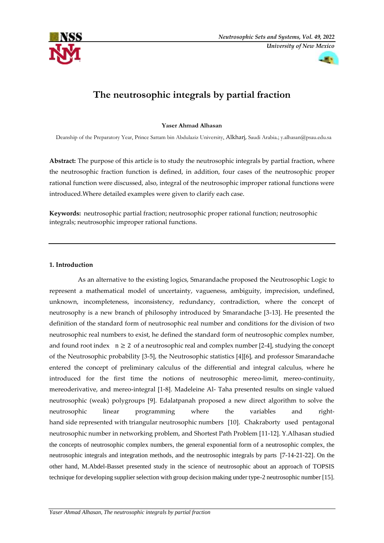



# **The neutrosophic integrals by partial fraction**

**Yaser Ahmad Alhasan**

Deanship of the Preparatory Year, Prince Sattam bin Abdulaziz University, Alkharj, Saudi Arabia.; [y.alhasan@psau.edu.sa](mailto:y.alhasan@psau.edu.sa)

**Abstract:** The purpose of this article is to study the neutrosophic integrals by partial fraction, where the neutrosophic fraction function is defined, in addition, four cases of the neutrosophic proper rational function were discussed, also, integral of the neutrosophic improper rational functions were introduced.Where detailed examples were given to clarify each case.

**Keywords:** neutrosophic partial fraction; neutrosophic proper rational function; neutrosophic integrals; neutrosophic improper rational functions.

# **1. Introduction**

 As an alternative to the existing logics, Smarandache proposed the Neutrosophic Logic to represent a mathematical model of uncertainty, vagueness, ambiguity, imprecision, undefined, unknown, incompleteness, inconsistency, redundancy, contradiction, where the concept of neutrosophy is a new branch of philosophy introduced by Smarandache [3-13]. He presented the definition of the standard form of neutrosophic real number and conditions for the division of two neutrosophic real numbers to exist, he defined the standard form of neutrosophic complex number, and found root index  $n \geq 2$  of a neutrosophic real and complex number [2-4], studying the concept of the Neutrosophic probability [3-5], the Neutrosophic statistics [4][6], and professor Smarandache entered the concept of preliminary calculus of the differential and integral calculus, where he introduced for the first time the notions of neutrosophic mereo-limit, mereo-continuity, mereoderivative, and mereo-integral [1-8]. Madeleine Al- Taha presented results on single valued neutrosophic (weak) polygroups [9]. Edalatpanah proposed a new direct algorithm to solve the neutrosophic linear programming where the variables and righthand side represented with triangular neutrosophic numbers [10]. Chakraborty used pentagonal neutrosophic number in networking problem, and Shortest Path Problem [11-12]. Y.Alhasan studied the concepts of neutrosophic complex numbers, the general exponential form of a neutrosophic complex, the neutrosophic integrals and integration methods, and the neutrosophic integrals by parts [7-14-21-22]. On the other hand, M.Abdel-Basset presented study in the science of neutrosophic about an approach of TOPSIS technique for developing supplier selection with group decision making under type-2 neutrosophic number [15].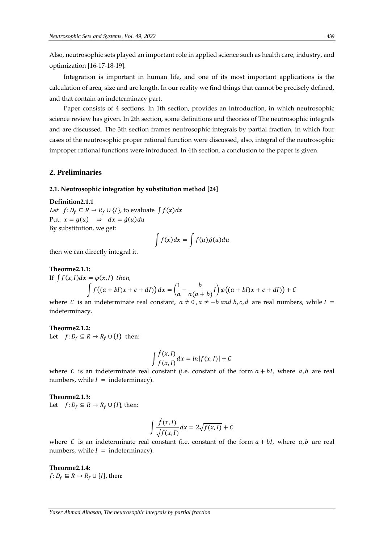Also, neutrosophic sets played an important role in applied science such as health care, industry, and optimization [16-17-18-19].

 Integration is important in human life, and one of its most important applications is the calculation of area, size and arc length. In our reality we find things that cannot be precisely defined, and that contain an indeterminacy part.

 Paper consists of 4 sections. In 1th section, provides an introduction, in which neutrosophic science review has given. In 2th section, some definitions and theories of The neutrosophic integrals and are discussed. The 3th section frames neutrosophic integrals by partial fraction, in which four cases of the neutrosophic proper rational function were discussed, also, integral of the neutrosophic improper rational functions were introduced. In 4th section, a conclusion to the paper is given.

# **2. Preliminaries**

#### **2.1. Neutrosophic integration by substitution method [24]**

**Definition2.1.1** Let  $f: D_f \subseteq R \rightarrow R_f \cup \{I\}$ , to evaluate  $\int f(x)dx$ Put:  $x = g(u) \Rightarrow dx = \acute{g}(u)du$ By substitution, we get:

$$
\int f(x)dx = \int f(u)\dot{g}(u)du
$$

then we can directly integral it.

#### **Theorme2.1.1:**

If 
$$
\int f(x, l) dx = \varphi(x, l)
$$
 then,  

$$
\int f((a+bl)x + c + dl)) dx = \left(\frac{1}{a} - \frac{b}{a(a+b)}l\right) \varphi((a+bl)x + c + dl)) + C
$$

where C is an indeterminate real constant,  $a \ne 0$ ,  $a \ne -b$  and b, c, d are real numbers, while  $I =$ indeterminacy.

**Theorme2.1.2:**  Let  $f: D_f \subseteq R \rightarrow R_f \cup \{I\}$  then:

$$
\int \frac{\hat{f}(x,l)}{f(x,l)} dx = \ln|f(x,l)| + C
$$

where C is an indeterminate real constant (i.e. constant of the form  $a + bl$ , where  $a, b$  are real numbers, while  $I =$  indeterminacy).

#### **Theorme2.1.3:**

Let  $f: D_f \subseteq R \rightarrow R_f \cup \{I\}$ , then:

$$
\int \frac{\hat{f}(x,I)}{\sqrt{f(x,I)}} dx = 2\sqrt{f(x,I)} + C
$$

where C is an indeterminate real constant (i.e. constant of the form  $a + bl$ , where  $a, b$  are real numbers, while  $I =$  indeterminacy).

**Theorme2.1.4:**   $f: D_f \subseteq R \rightarrow R_f \cup \{I\}$ , then: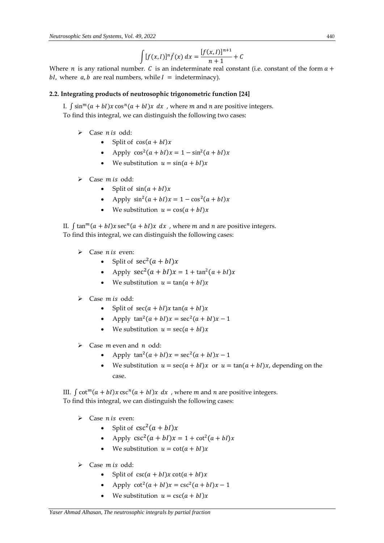$$
\int [f(x, I)]^n \hat{f}(x) dx = \frac{[f(x, I)]^{n+1}}{n+1} + C
$$

Where *n* is any rational number. *C* is an indeterminate real constant (i.e. constant of the form  $a +$ bI, where  $a$ ,  $b$  are real numbers, while  $I =$  indeterminacy).

# **2.2. Integrating products of neutrosophic trigonometric function [24]**

I.  $\int \sin^{m}(a + bI)x \cos^{n}(a + bI)x dx$ , where *m* and *n* are positive integers. To find this integral, we can distinguish the following two cases:

- $\triangleright$  Case *n* is odd:
	- Split of  $cos(a + bI)x$
	- Apply  $\cos^2(a + bI)x = 1 \sin^2(a + bI)x$
	- We substitution  $u = sin(a + bI)x$
- $\triangleright$  Case *m* is odd:
	- Split of  $sin(a + bI)x$
	- Apply  $\sin^2(a + bI)x = 1 \cos^2(a + bI)x$
	- We substitution  $u = \cos(a + bI)x$

II.  $\int \tan^{m}(a + bI)x \sec^{n}(a + bI)x dx$ , where *m* and *n* are positive integers. To find this integral, we can distinguish the following cases:

- $\triangleright$  Case *n* is even:
	- Split of  $sec^2(a + bI)x$
	- Apply  $\sec^2(a + bI)x = 1 + \tan^2(a + bI)x$
	- We substitution  $u = \tan(a + bI)x$
- $\triangleright$  Case *m* is odd:
	- Split of  $sec(a + bI)x$   $tan(a + bI)x$
	- Apply  $\tan^2(a + bI)x = \sec^2(a + bI)x 1$
	- We substitution  $u = \sec(a + bI)x$
- $\triangleright$  Case *m* even and *n* odd:
	- Apply  $\tan^2(a + bI)x = \sec^2(a + bI)x 1$
	- We substitution  $u = \sec(a + bI)x$  or  $u = \tan(a + bI)x$ , depending on the case.

III.  $\int \cot^{m}(a + bI)x \csc^{n}(a + bI)x dx$ , where *m* and *n* are positive integers. To find this integral, we can distinguish the following cases:

- $\triangleright$  Case *n* is even:
	- Split of  $csc^2(a + bl)x$
	- Apply  $\csc^2(a + bI)x = 1 + \cot^2(a + bI)x$
	- We substitution  $u = \cot(a + bI)x$
- $\triangleright$  Case *m* is odd:
	- Split of  $\csc(a + bI)x \cot(a + bI)x$
	- Apply  $\cot^2(a + bI)x = \csc^2(a + bI)x 1$
	- We substitution  $u = \csc(a + bl)x$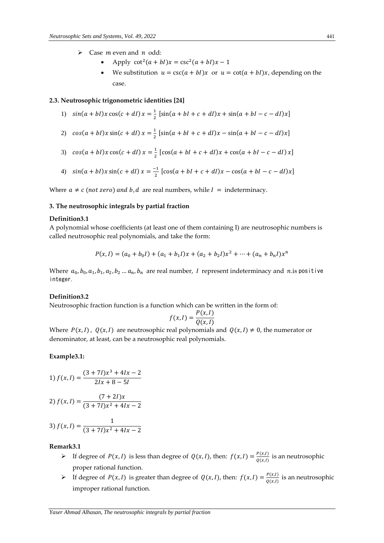- $\triangleright$  Case *m* even and *n* odd:
	- Apply  $\cot^2(a + bI)x = \csc^2(a + bI)x 1$
	- We substitution  $u = \csc(a + bI)x$  or  $u = \cot(a + bI)x$ , depending on the case.

## **2.3. Neutrosophic trigonometric identities [24]**

- 1)  $sin(a + bI)x cos(c + dI)x = \frac{1}{2}$  $\frac{1}{2}$  [sin(a + bI + c + dI)x + sin(a + bI – c – dI)x]
- 2)  $cos(a + bI)x sin(c + dI)x = \frac{1}{2}$  $\frac{1}{2}$  [sin(a + bI + c + dI)x - sin(a + bI - c - dI)x]
- 3)  $cos(a + bI)x cos(c + dI)x = \frac{1}{2}$  $\frac{1}{2}$  [cos(a + bI + c + dI)x + cos(a + bI – c – dI) x]
- 4)  $sin(a + bI)x sin(c + dl)x = \frac{-1}{2}$  $\frac{1}{2}$  [cos(a + bI + c + dI)x – cos(a + bI – c – dI)x]

Where  $a \neq c$  (not zero) and b, d are real numbers, while  $I =$  indeterminacy.

# **3. The neutrosophic integrals by partial fraction**

#### **Definition3.1**

A polynomial whose coefficients (at least one of them containing I) are neutrosophic numbers is called neutrosophic real polynomials, and take the form:

$$
P(x, I) = (a_0 + b_0 I) + (a_1 + b_1 I)x + (a_2 + b_2 I)x^2 + \dots + (a_n + b_n I)x^n
$$

Where  $a_0, b_0, a_1, b_1, a_2, b_2 ... a_n, b_n$  are real number, I represent indeterminacy and n.is positive integer.

## **Definition3.2**

Neutrosophic fraction function is a function which can be written in the form of:

$$
f(x,I) = \frac{P(x,I)}{Q(x,I)}
$$

Where  $P(x,1)$ ,  $Q(x,1)$  are neutrosophic real polynomials and  $Q(x,1) \neq 0$ , the numerator or denominator, at least, can be a neutrosophic real polynomials.

# **Example3.1:**

1) 
$$
f(x, I) = \frac{(3 + 7I)x^3 + 4Ix - 2}{2Ix + 8 - 5I}
$$

$$
2) f(x, I) = \frac{(7+2I)x}{(3+7I)x^2+4Ix-2}
$$

$$
3) f(x, I) = \frac{1}{(3 + 7I)x^2 + 4Ix - 2}
$$

#### **Remark3.1**

- If degree of  $P(x, I)$  is less than degree of  $Q(x, I)$ , then:  $f(x, I) = \frac{P(x, I)}{Q(x, I)}$  $\frac{d^{i}(x,t)}{Q(x,t)}$  is an neutrosophic proper rational function.
- If degree of  $P(x, I)$  is greater than degree of  $Q(x, I)$ , then:  $f(x, I) = \frac{P(x, I)}{Q(x, I)}$  $\frac{d^{i}(x,t)}{Q(x,t)}$  is an neutrosophic improper rational function.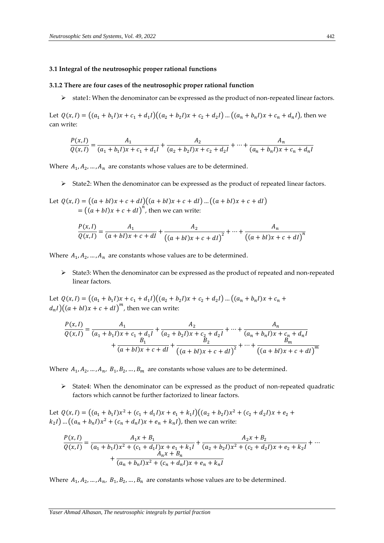# **3.1 Integral of the neutrosophic proper rational functions**

## **3.1.2 There are four cases of the neutrosophic proper rational function**

state1: When the denominator can be expressed as the product of non-repeated linear factors.

Let  $Q(x, I) = ((a_1 + b_1 I)x + c_1 + d_1 I)((a_2 + b_2 I)x + c_2 + d_2 I)...((a_n + b_n I)x + c_n + d_n I)$ , then we can write:

$$
\frac{P(x, I)}{Q(x, I)} = \frac{A_1}{(a_1 + b_1 I)x + c_1 + d_1 I} + \frac{A_2}{(a_2 + b_2 I)x + c_2 + d_2 I} + \dots + \frac{A_n}{(a_n + b_n I)x + c_n + d_n I}
$$

Where  $A_1, A_2, ..., A_n$  are constants whose values are to be determined.

State2: When the denominator can be expressed as the product of repeated linear factors.

Let 
$$
Q(x, I) = ((a + bI)x + c + dl)((a + bI)x + c + dl) \dots ((a + bl)x + c + dl)
$$
  
=  $((a + bl)x + c + dl)^n$ , then we can write:

$$
\frac{P(x, l)}{Q(x, l)} = \frac{A_1}{(a + bl)x + c + dl} + \frac{A_2}{((a + bl)x + c + dl)^2} + \dots + \frac{A_n}{((a + bl)x + c + dl)^n}
$$

Where  $A_1, A_2, ..., A_n$  are constants whose values are to be determined.

 State3: When the denominator can be expressed as the product of repeated and non-repeated linear factors.

Let  $Q(x, I) = ((a_1 + b_1 I)x + c_1 + d_1 I)((a_2 + b_2 I)x + c_2 + d_2 I) ... ((a_n + b_n I)x + c_n +$  $d_n I\big) \big( (a+bl)x + c + dl \big)^m$ , then we can write:

$$
\frac{P(x, I)}{Q(x, I)} = \frac{A_1}{(a_1 + b_1 I)x + c_1 + d_1 I} + \frac{A_2}{(a_2 + b_2 I)x + c_2 + d_2 I} + \dots + \frac{A_n}{(a_n + b_n I)x + c_n + d_n I}
$$
  
+ 
$$
\frac{B_1}{(a + b I)x + c + dI} + \frac{B_2}{((a + b I)x + c + dI)^2} + \dots + \frac{B_m}{((a + b I)x + c + dI)^m}
$$

Where  $A_1, A_2, ..., A_n$ ,  $B_1, B_2, ..., B_m$  are constants whose values are to be determined.

 $\triangleright$  State4: When the denominator can be expressed as the product of non-repeated quadratic factors which cannot be further factorized to linear factors.

Let  $Q(x, I) = ((a_1 + b_1 I)x^2 + (c_1 + d_1 I)x + e_1 + k_1 I)((a_2 + b_2 I)x^2 + (c_2 + d_2 I)x + e_2 +$  $(k_2 I) ... ((a_n + b_n I)x^2 + (c_n + d_n I)x + e_n + k_n I)$ , then we can write:

$$
\frac{P(x, I)}{Q(x, I)} = \frac{A_1x + B_1}{(a_1 + b_1I)x^2 + (c_1 + d_1I)x + e_1 + k_1I} + \frac{A_2x + B_2}{(a_2 + b_2I)x^2 + (c_2 + d_2I)x + e_2 + k_2I} + \dots + \frac{A_nx + B_n}{(a_n + b_nI)x^2 + (c_n + d_nI)x + e_n + k_nI}
$$

Where  $A_1, A_2, ..., A_n$ ,  $B_1, B_2, ..., B_n$  are constants whose values are to be determined.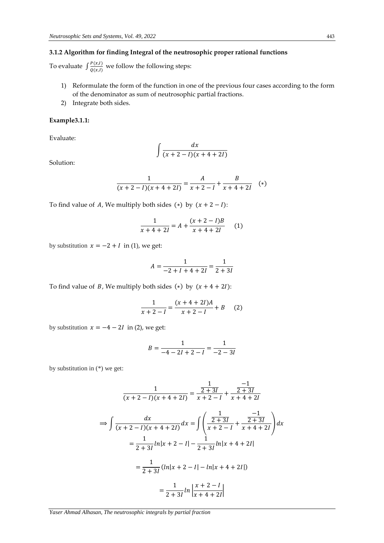# **3.1.2 Algorithm for finding Integral of the neutrosophic proper rational functions**

To evaluate  $\int \frac{P(x,l)}{Q(x,l)}$  $\frac{\Gamma(x,t)}{Q(x,l)}$  we follow the following steps:

- 1) Reformulate the form of the function in one of the previous four cases according to the form of the denominator as sum of neutrosophic partial fractions.
- 2) Integrate both sides.

# **Example3.1.1:**

Evaluate:

$$
\int \frac{dx}{(x+2-I)(x+4+2I)}
$$

Solution:

$$
\frac{1}{(x+2-l)(x+4+2l)} = \frac{A}{x+2-l} + \frac{B}{x+4+2l} \quad (*)
$$

To find value of A, We multiply both sides (\*) by  $(x + 2 - 1)$ :

$$
\frac{1}{x+4+2I} = A + \frac{(x+2-I)B}{x+4+2I}
$$
 (1)

by substitution  $x = -2 + I$  in (1), we get:

$$
A = \frac{1}{-2 + I + 4 + 2I} = \frac{1}{2 + 3I}
$$

To find value of *B*, We multiply both sides (\*) by  $(x + 4 + 2i)$ :

$$
\frac{1}{x+2-l} = \frac{(x+4+2I)A}{x+2-l} + B \qquad (2)
$$

by substitution  $x = -4 - 2I$  in (2), we get:

$$
B = \frac{1}{-4 - 2I + 2 - I} = \frac{1}{-2 - 3I}
$$

by substitution in (\*) we get:

$$
\frac{1}{(x+2-1)(x+4+2I)} = \frac{\frac{1}{2+3I}}{x+2-I} + \frac{\frac{-1}{2+3I}}{x+4+2I}
$$
  
\n
$$
\Rightarrow \int \frac{dx}{(x+2-I)(x+4+2I)} dx = \int \left(\frac{\frac{1}{2+3I}}{x+2-I} + \frac{\frac{-1}{2+3I}}{x+4+2I}\right) dx
$$
  
\n
$$
= \frac{1}{2+3I} \ln|x+2-I| - \frac{1}{2+3I} \ln|x+4+2I|
$$
  
\n
$$
= \frac{1}{2+3I} (\ln|x+2-I| - \ln|x+4+2I|)
$$
  
\n
$$
= \frac{1}{2+3I} \ln \left| \frac{x+2-I}{x+4+2I} \right|
$$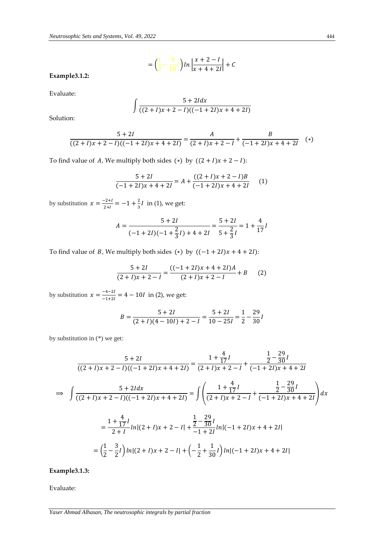$$
= \left(\frac{1}{2} - \frac{3}{10}I\right) \ln \left|\frac{x+2-I}{x+4+2I}\right| + C
$$

**Example3.1.2:**

Evaluate:

$$
\int \frac{5 + 2ldx}{((2 + I)x + 2 - I)((-1 + 2I)x + 4 + 2I)}
$$

Solution:

$$
\frac{5+2I}{((2+I)x+2-I)((-1+2I)x+4+2I)} = \frac{A}{(2+I)x+2-I} + \frac{B}{(-1+2I)x+4+2I}
$$
 (\*)

To find value of A, We multiply both sides (\*) by  $((2 + I)x + 2 - I)$ :

$$
\frac{5+2I}{(-1+2I)x+4+2I} = A + \frac{((2+I)x+2-I)B}{(-1+2I)x+4+2I}
$$
 (1)

by substitution  $x = \frac{-2+1}{2+1}$  $\frac{-2+1}{2+1} = -1 + \frac{2}{3}$  $rac{2}{3}$ *l* in (1), we get:

$$
A = \frac{5 + 2I}{(-1 + 2I)(-1 + \frac{2}{3}I) + 4 + 2I} = \frac{5 + 2I}{5 + \frac{2}{3}I} = 1 + \frac{4}{17}I
$$

To find value of *B*, We multiply both sides (\*) by  $((-1 + 2i)x + 4 + 2i)$ :

$$
\frac{5+2I}{(2+I)x+2-I} = \frac{((-1+2I)x+4+2I)A}{(2+I)x+2-I} + B
$$
 (2)

by substitution  $x = \frac{-4-2i}{4+2i}$  $\frac{-4-2i}{-1+2i}$  = 4 – 10*l* in (2), we get:

$$
B = \frac{5+2I}{(2+I)(4-10I)+2-I} = \frac{5+2I}{10-25I} = \frac{1}{2} - \frac{29}{30}I
$$

by substitution in (\*) we get:

$$
\frac{5+2I}{((2+I)x+2-I)((-1+2I)x+4+2I)} = \frac{1+\frac{4}{17}I}{(2+I)x+2-I} + \frac{\frac{1}{2}-\frac{29}{30}I}{(-1+2I)x+4+2I}
$$
  
\n
$$
\Rightarrow \int \frac{5+2Idx}{((2+I)x+2-I)((-1+2I)x+4+2I)} = \int \left(\frac{1+\frac{4}{17}I}{(2+I)x+2-I} + \frac{\frac{1}{2}-\frac{29}{30}I}{(-1+2I)x+4+2I}\right)dx
$$
  
\n
$$
= \frac{1+\frac{4}{17}I}{2+I}ln[(2+I)x+2-I] + \frac{\frac{1}{2}-\frac{29}{30}I}{-1+2I}ln[(-1+2I)x+4+2I]
$$
  
\n
$$
= \left(\frac{1}{2}-\frac{3}{2}I\right)ln[(2+I)x+2-I] + \left(-\frac{1}{2}+\frac{1}{30}I\right)ln[(-1+2I)x+4+2I]
$$

**Example3.1.3:**

Evaluate: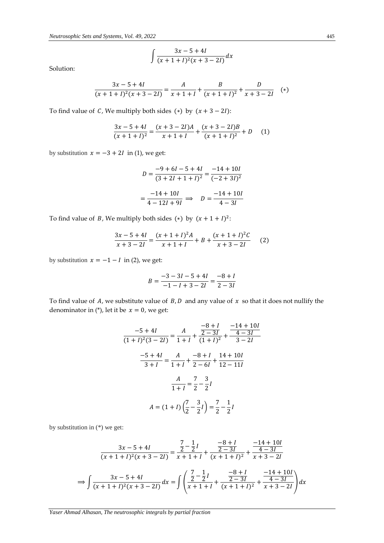$$
\int \frac{3x-5+4l}{(x+1+l)^2(x+3-2l)} dx
$$

Solution:

$$
\frac{3x-5+4l}{(x+1+l)^2(x+3-2l)} = \frac{A}{x+1+l} + \frac{B}{(x+1+l)^2} + \frac{D}{x+3-2l} \quad (*)
$$

To find value of C, We multiply both sides (\*) by  $(x + 3 - 2i)$ :

$$
\frac{3x-5+4I}{(x+1+I)^2} = \frac{(x+3-2I)A}{x+1+I} + \frac{(x+3-2I)B}{(x+1+I)^2} + D
$$
 (1)

by substitution  $x = -3 + 2I$  in (1), we get:

$$
D = \frac{-9 + 6l - 5 + 4l}{(3 + 2l + 1 + l)^2} = \frac{-14 + 10l}{(-2 + 3l)^2}
$$

$$
= \frac{-14 + 10l}{4 - 12l + 9l} \implies D = \frac{-14 + 10l}{4 - 3l}
$$

To find value of *B*, We multiply both sides (\*) by  $(x + 1 + I)^2$ :

$$
\frac{3x-5+4l}{x+3-2l} = \frac{(x+1+l)^2A}{x+1+l} + B + \frac{(x+1+l)^2C}{x+3-2l}
$$
 (2)

by substitution  $x = -1 - I$  in (2), we get:

$$
B = \frac{-3 - 3I - 5 + 4I}{-1 - I + 3 - 2I} = \frac{-8 + I}{2 - 3I}
$$

To find value of A, we substitute value of  $B$ ,  $D$  and any value of  $x$  so that it does not nullify the denominator in (\*), let it be  $x = 0$ , we get:

$$
\frac{-5+4I}{(1+I)^2(3-2I)} = \frac{A}{1+I} + \frac{\frac{-8+I}{2-3I}}{(1+I)^2} + \frac{\frac{-14+10I}{4-3I}}{3-2I}
$$

$$
\frac{-5+4I}{3+I} = \frac{A}{1+I} + \frac{-8+I}{2-6I} + \frac{14+10I}{12-11I}
$$

$$
\frac{A}{1+I} = \frac{7}{2} - \frac{3}{2}I
$$

$$
A = (1+I)\left(\frac{7}{2} - \frac{3}{2}I\right) = \frac{7}{2} - \frac{1}{2}I
$$

by substitution in (\*) we get:

$$
\frac{3x - 5 + 4I}{(x + 1 + I)^2(x + 3 - 2I)} = \frac{\frac{7}{2} - \frac{1}{2}I}{x + 1 + I} + \frac{\frac{-8 + I}{2 - 3I}}{(x + 1 + I)^2} + \frac{\frac{-14 + 10I}{4 - 3I}}{x + 3 - 2I}
$$

$$
\implies \int \frac{3x - 5 + 4I}{(x + 1 + I)^2(x + 3 - 2I)} dx = \int \left(\frac{\frac{7}{2} - \frac{1}{2}I}{x + 1 + I} + \frac{\frac{-8 + I}{2 - 3I}}{(x + 1 + I)^2} + \frac{\frac{-14 + 10I}{4 - 3I}}{x + 3 - 2I}\right) dx
$$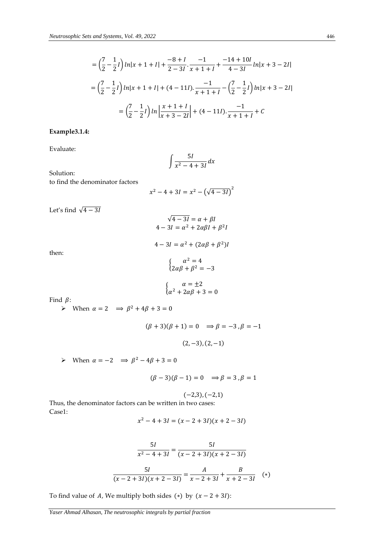$$
= \left(\frac{7}{2} - \frac{1}{2}I\right) \ln|x+1+I| + \frac{-8+I}{2-3I} \cdot \frac{-1}{x+1+I} + \frac{-14+10I}{4-3I} \ln|x+3-2I|
$$
  

$$
= \left(\frac{7}{2} - \frac{1}{2}I\right) \ln|x+1+I| + (4-11I) \cdot \frac{-1}{x+1+I} - \left(\frac{7}{2} - \frac{1}{2}I\right) \ln|x+3-2I|
$$
  

$$
= \left(\frac{7}{2} - \frac{1}{2}I\right) \ln\left|\frac{x+1+I}{x+3-2I}\right| + (4-11I) \cdot \frac{-1}{x+1+I} + C
$$

# **Example3.1.4:**

Evaluate:

$$
\int \frac{5I}{x^2 - 4 + 3I} dx
$$

Solution:

to find the denominator factors

$$
x^2 - 4 + 3I = x^2 - (\sqrt{4 - 3I})^2
$$

 $\sqrt{4-3}I = \alpha + \beta I$  $4-3I = \alpha^2 + 2\alpha\beta I + \beta^2 I$ 

Let's find  $\sqrt{4-3I}$ 

then:

$$
4 - 3I = \alpha^2 + (2\alpha\beta + \beta^2)I
$$

$$
\begin{cases} \alpha^2 = 4\\ 2\alpha\beta + \beta^2 = -3 \end{cases}
$$

$$
\begin{cases}\n\alpha = \pm 2\\ \alpha^2 + 2\alpha\beta + 3 = 0\n\end{cases}
$$

Find  $\beta$ :

 $\triangleright$  When  $\alpha = 2 \implies \beta^2 + 4\beta + 3 = 0$ 

$$
(\beta + 3)(\beta + 1) = 0 \implies \beta = -3, \beta = -1
$$
  

$$
(2, -3), (2, -1)
$$

 $\triangleright$  When  $\alpha = -2$   $\Rightarrow \beta^2 - 4\beta + 3 = 0$ 

$$
(\beta - 3)(\beta - 1) = 0 \implies \beta = 3, \beta = 1
$$

$$
(-2,3), (-2,1)
$$

Thus, the denominator factors can be written in two cases: Case1:

$$
x^2 - 4 + 3I = (x - 2 + 3I)(x + 2 - 3I)
$$

$$
\frac{5I}{x^2 - 4 + 3I} = \frac{5I}{(x - 2 + 3I)(x + 2 - 3I)}
$$

$$
\frac{5I}{(x - 2 + 3I)(x + 2 - 3I)} = \frac{A}{x - 2 + 3I} + \frac{B}{x + 2 - 3I} \quad (*)
$$

To find value of A, We multiply both sides (\*) by  $(x - 2 + 3i)$ :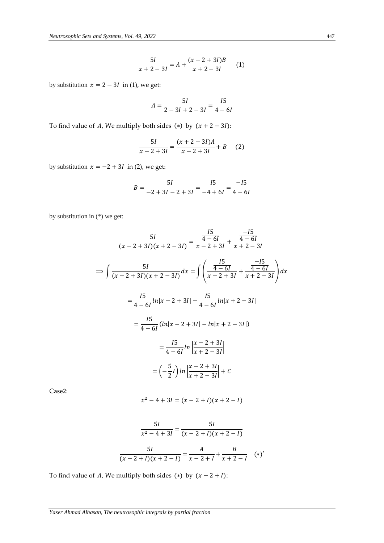$$
\frac{5I}{x+2-3I} = A + \frac{(x-2+3I)B}{x+2-3I}
$$
 (1)

by substitution  $x = 2 - 3I$  in (1), we get:

$$
A = \frac{5I}{2 - 3I + 2 - 3I} = \frac{15}{4 - 6I}
$$

To find value of A, We multiply both sides (\*) by  $(x + 2 - 3i)$ :

$$
\frac{5I}{x-2+3I} = \frac{(x+2-3I)A}{x-2+3I} + B \qquad (2)
$$

by substitution  $x = -2 + 3I$  in (2), we get:

$$
B = \frac{5I}{-2 + 3I - 2 + 3I} = \frac{15}{-4 + 6I} = \frac{-15}{4 - 6I}
$$

by substitution in (\*) we get:

$$
\frac{5I}{(x-2+3I)(x+2-3I)} = \frac{\frac{15}{4-6I}}{x-2+3I} + \frac{\frac{-15}{4-6I}}{x+2-3I}
$$
  
\n
$$
\Rightarrow \int \frac{5I}{(x-2+3I)(x+2-3I)} dx = \int \left(\frac{\frac{15}{4-6I}}{x-2+3I} + \frac{\frac{-15}{4-6I}}{x+2-3I}\right) dx
$$
  
\n
$$
= \frac{15}{4-6I} \ln|x-2+3I| - \frac{15}{4-6I} \ln|x+2-3I|
$$
  
\n
$$
= \frac{15}{4-6I} (\ln|x-2+3I| - \ln|x+2-3I|)
$$
  
\n
$$
= \frac{15}{4-6I} \ln\left|\frac{x-2+3I}{x+2-3I}\right|
$$
  
\n
$$
= \left(-\frac{5}{2}I\right) \ln\left|\frac{x-2+3I}{x+2-3I}\right| + C
$$

Case2:

$$
x^2 - 4 + 3I = (x - 2 + I)(x + 2 - I)
$$

$$
\frac{5I}{x^2 - 4 + 3I} = \frac{5I}{(x - 2 + I)(x + 2 - I)}
$$

$$
\frac{5I}{(x - 2 + I)(x + 2 - I)} = \frac{A}{x - 2 + I} + \frac{B}{x + 2 - I} \quad (*)'
$$

To find value of A, We multiply both sides (\*) by  $(x - 2 + 1)$ :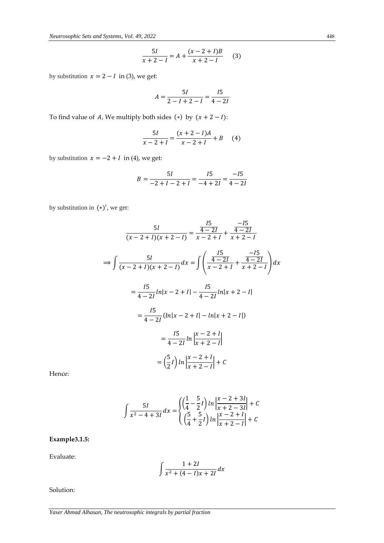$$
\frac{5I}{x+2-I} = A + \frac{(x-2+I)B}{x+2-I}
$$
 (3)

by substitution  $x = 2 - I$  in (3), we get:

$$
A = \frac{5I}{2 - I + 2 - I} = \frac{I5}{4 - 2I}
$$

To find value of A, We multiply both sides (\*) by  $(x + 2 - 1)$ :

$$
\frac{5I}{x-2+I} = \frac{(x+2-I)A}{x-2+I} + B \qquad (4)
$$

by substitution  $x = -2 + I$  in (4), we get:

$$
B = \frac{5I}{-2+I-2+I} = \frac{I5}{-4+2I} = \frac{-I5}{4-2I}
$$

by substitution in  $(*)'$ , we get:

$$
\frac{5I}{(x-2+I)(x+2-I)} = \frac{\frac{I5}{4-2I}}{x-2+I} + \frac{\frac{-I5}{4-2I}}{x+2-I}
$$
  
\n
$$
\Rightarrow \int \frac{5I}{(x-2+I)(x+2-I)} dx = \int \left(\frac{\frac{I5}{4-2I}}{x-2+I} + \frac{\frac{-I5}{4-2I}}{x+2-I}\right) dx
$$
  
\n
$$
= \frac{I5}{4-2I} ln|x-2+I| - \frac{I5}{4-2I} ln|x+2-I|
$$
  
\n
$$
= \frac{I5}{4-2I} (ln|x-2+I| - ln|x+2-I|)
$$
  
\n
$$
= \frac{I5}{4-2I} ln \left| \frac{x-2+I}{x+2-I} \right|
$$
  
\n
$$
= \left(\frac{5}{2}I\right) ln \left| \frac{x-2+I}{x+2-I} \right| + C
$$

Hence:

$$
\int \frac{5I}{x^2 - 4 + 3I} dx = \begin{cases} \left(\frac{1}{4} - \frac{5}{2}I\right) \ln \left|\frac{x - 2 + 3I}{x + 2 - 3I}\right| + C\\ \left(\frac{5}{4} + \frac{5}{2}I\right) \ln \left|\frac{x - 2 + I}{x + 2 - I}\right| + C \end{cases}
$$

**Example3.1.5:**

Evaluate:

$$
\int \frac{1+2I}{x^2+(4-I)x+2I} dx
$$

Solution: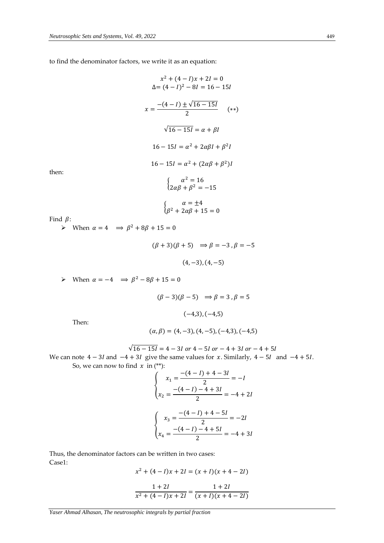to find the denominator factors, we write it as an equation:

$$
x^{2} + (4 - I)x + 2I = 0
$$
  
\n
$$
\Delta = (4 - I)^{2} - 8I = 16 - 15I
$$
  
\n
$$
x = \frac{-(4 - I) \pm \sqrt{16 - 15I}}{2} \qquad (*)
$$
  
\n
$$
\sqrt{16 - 15I} = \alpha + \beta I
$$
  
\n
$$
16 - 15I = \alpha^{2} + 2\alpha\beta I + \beta^{2}I
$$
  
\n
$$
16 - 15I = \alpha^{2} + (2\alpha\beta + \beta^{2})I
$$
  
\n
$$
\begin{cases}\n\alpha^{2} = 16 \\
2\alpha\beta + \beta^{2} = -15\n\end{cases}
$$
  
\n
$$
\begin{cases}\n\alpha = \pm 4 \\
\beta^{2} + 2\alpha\beta + 15 = 0\n\end{cases}
$$

then:

Find 
$$
\beta
$$
:

 $\triangleright$  When  $\alpha = 4 \implies \beta^2 + 8\beta + 15 = 0$ 

$$
(\beta + 3)(\beta + 5) \Rightarrow \beta = -3, \beta = -5
$$
  
(4, -3), (4, -5)

> When  $\alpha = -4$  ⇒  $\beta^2 - 8\beta + 15 = 0$ 

$$
(\beta - 3)(\beta - 5) \Rightarrow \beta = 3, \beta = 5
$$

$$
(-4,3), (-4,5)
$$

Then:

$$
(\alpha, \beta) = (4, -3), (4, -5), (-4, 3), (-4, 5)
$$

$$
\sqrt{16 - 15l} = 4 - 3l \text{ or } 4 - 5l \text{ or } -4 + 3l \text{ or } -4 + 5l
$$

We can note  $4 - 3I$  and  $-4 + 3I$  give the same values for x. Similarly,  $4 - 5I$  and  $-4 + 5I$ . So, we can now to find  $x$  in (\*\*):

$$
\begin{cases}\n x_1 = \frac{-(4-l) + 4 - 3l}{2} = -l \\
 x_2 = \frac{-(4-l) - 4 + 3l}{2} = -4 + 2l\n\end{cases}
$$
\n
$$
\begin{cases}\n x_3 = \frac{-(4-l) + 4 - 5l}{2} = -2l \\
 x_4 = \frac{-(4-l) - 4 + 5l}{2} = -4 + 3l\n\end{cases}
$$

Thus, the denominator factors can be written in two cases: Case1:

$$
x^{2} + (4 - I)x + 2I = (x + I)(x + 4 - 2I)
$$
  
1 + 2I 1 + 2I

$$
\frac{1+2i}{x^2+(4-i)x+2i} = \frac{1+2i}{(x+i)(x+4-2i)}
$$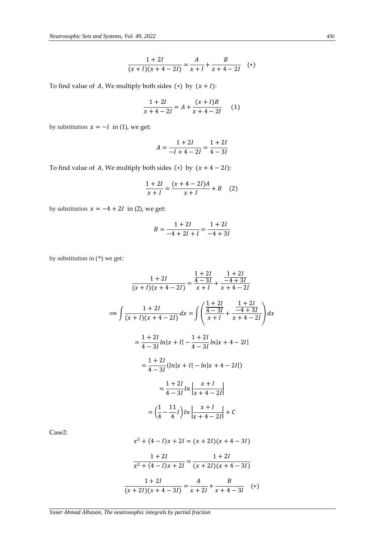$$
\frac{1+2I}{(x+I)(x+4-2I)} = \frac{A}{x+I} + \frac{B}{x+4-2I} \quad (*)
$$

To find value of A, We multiply both sides (\*) by  $(x + I)$ :

$$
\frac{1+2I}{x+4-2I} = A + \frac{(x+I)B}{x+4-2I}
$$
 (1)

by substitution  $x = -I$  in (1), we get:

$$
A = \frac{1+2I}{-I+4-2I} = \frac{1+2I}{4-3I}
$$

To find value of A, We multiply both sides (\*) by  $(x + 4 - 2i)$ :

$$
\frac{1+2I}{x+I} = \frac{(x+4-2I)A}{x+I} + B \quad (2)
$$

by substitution  $x = -4 + 2I$  in (2), we get:

$$
B = \frac{1+2I}{-4+2I+I} = \frac{1+2I}{-4+3I}
$$

by substitution in (\*) we get:

$$
\frac{1+2I}{(x+I)(x+4-2I)} = \frac{\frac{1+2I}{4-3I}}{x+I} + \frac{\frac{1+2I}{-4+3I}}{x+4-2I}
$$
  
\n
$$
\Rightarrow \int \frac{1+2I}{(x+I)(x+4-2I)} dx = \int \left(\frac{\frac{1+2I}{4-3I}}{x+I} + \frac{\frac{1+2I}{-4+3I}}{x+4-2I}\right) dx
$$
  
\n
$$
= \frac{1+2I}{4-3I} \ln|x+I| - \frac{1+2I}{4-3I} \ln|x+4-2I|
$$
  
\n
$$
= \frac{1+2I}{4-3I} (\ln|x+I| - \ln|x+4-2I|)
$$
  
\n
$$
= \frac{1+2I}{4-3I} \ln \left| \frac{x+I}{x+4-2I} \right|
$$
  
\n
$$
= \left(\frac{1}{4} - \frac{11}{4}I\right) \ln \left| \frac{x+I}{x+4-2I} \right| + C
$$

Case2:

$$
x^{2} + (4 - 1)x + 2I = (x + 2I)(x + 4 - 3I)
$$

$$
\frac{1 + 2I}{x^{2} + (4 - I)x + 2I} = \frac{1 + 2I}{(x + 2I)(x + 4 - 3I)}
$$

$$
\frac{1 + 2I}{(x + 2I)(x + 4 - 3I)} = \frac{A}{x + 2I} + \frac{B}{x + 4 - 3I} (*)
$$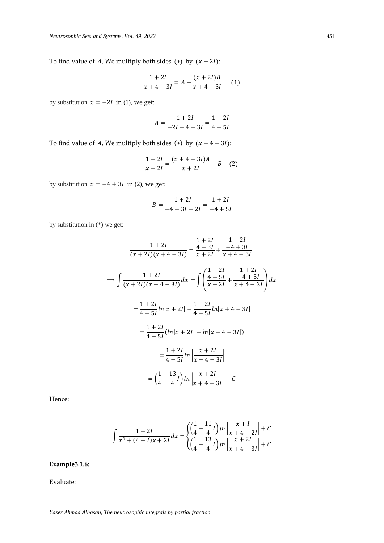To find value of A, We multiply both sides (\*) by  $(x + 2i)$ :

$$
\frac{1+2l}{x+4-3l} = A + \frac{(x+2l)B}{x+4-3l} \tag{1}
$$

by substitution  $x = -2I$  in (1), we get:

$$
A = \frac{1 + 2I}{-2I + 4 - 3I} = \frac{1 + 2I}{4 - 5I}
$$

To find value of A, We multiply both sides (\*) by  $(x + 4 - 3i)$ :

$$
\frac{1+2I}{x+2I} = \frac{(x+4-3I)A}{x+2I} + B \quad (2)
$$

by substitution  $x = -4 + 3I$  in (2), we get:

$$
B = \frac{1+2I}{-4+3I+2I} = \frac{1+2I}{-4+5I}
$$

by substitution in (\*) we get:

$$
\frac{1+2I}{(x+2I)(x+4-3I)} = \frac{\frac{1+2I}{4-3I}}{x+2I} + \frac{\frac{1+2I}{-4+3I}}{x+4-3I}
$$
  
\n
$$
\Rightarrow \int \frac{1+2I}{(x+2I)(x+4-3I)} dx = \int \left(\frac{\frac{1+2I}{4-5I}}{x+2I} + \frac{\frac{1+2I}{-4+5I}}{x+4-3I}\right) dx
$$
  
\n
$$
= \frac{1+2I}{4-5I} \ln|x+2I| - \frac{1+2I}{4-5I} \ln|x+4-3I|
$$
  
\n
$$
= \frac{1+2I}{4-5I} (\ln|x+2I| - \ln|x+4-3I|)
$$
  
\n
$$
= \frac{1+2I}{4-5I} \ln \left| \frac{x+2I}{x+4-3I} \right|
$$
  
\n
$$
= \left(\frac{1}{4} - \frac{13}{4}I\right) \ln \left| \frac{x+2I}{x+4-3I} \right| + C
$$

Hence:

$$
\int \frac{1+2I}{x^2+(4-I)x+2I} dx = \begin{cases} \left(\frac{1}{4}-\frac{11}{4}I\right) \ln\left|\frac{x+I}{x+4-2I}\right|+C\\ \left(\frac{1}{4}-\frac{13}{4}I\right) \ln\left|\frac{x+2I}{x+4-3I}\right|+C \end{cases}
$$

**Example3.1.6:**

Evaluate: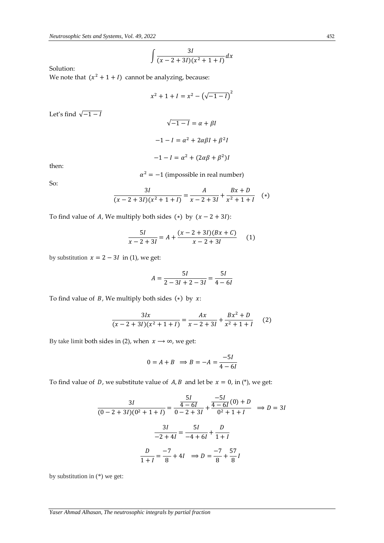$$
\int \frac{3I}{(x-2+3I)(x^2+1+I)} dx
$$

Solution:

Let's find  $\sqrt{-1-I}$ 

We note that  $(x^2 + 1 + I)$  cannot be analyzing, because:

$$
x^{2} + 1 + I = x^{2} - (\sqrt{-1 - I})^{2}
$$

$$
\sqrt{-1 - I} = \alpha + \beta I
$$

$$
-1 - I = \alpha^{2} + 2\alpha\beta I + \beta^{2}I
$$

$$
-1 - I = \alpha^{2} + (2\alpha\beta + \beta^{2})I
$$

then:

 $\alpha^2 = -1$  (impossible in real number)

So:

$$
\frac{3I}{(x-2+3I)(x^2+1+I)} = \frac{A}{x-2+3I} + \frac{Bx+D}{x^2+1+I} \quad (*)
$$

To find value of A, We multiply both sides (\*) by  $(x - 2 + 3i)$ :

$$
\frac{5I}{x-2+3I} = A + \frac{(x-2+3I)(Bx+C)}{x-2+3I}
$$
 (1)

by substitution  $x = 2 - 3I$  in (1), we get:

$$
A = \frac{5I}{2 - 3I + 2 - 3I} = \frac{5I}{4 - 6I}
$$

To find value of  $B$ , We multiply both sides  $(*)$  by  $x$ :

$$
\frac{3Ix}{(x-2+3I)(x^2+1+I)} = \frac{Ax}{x-2+3I} + \frac{Bx^2+D}{x^2+1+I}
$$
 (2)

By take limit both sides in (2), when  $x \rightarrow \infty$ , we get:

$$
0 = A + B \implies B = -A = \frac{-5I}{4 - 6I}
$$

To find value of *D*, we substitute value of *A*, *B* and let be  $x = 0$ , in (\*), we get:

$$
\frac{3I}{(0-2+3I)(0^2+1+I)} = \frac{\frac{5I}{4-6I}}{0-2+3I} + \frac{\frac{-5I}{4-6I}(0)+D}{0^2+1+I} \implies D = 3I
$$

$$
\frac{3I}{-2+4I} = \frac{5I}{-4+6I} + \frac{D}{1+I}
$$

$$
\frac{D}{1+I} = \frac{-7}{8} + 4I \implies D = \frac{-7}{8} + \frac{57}{8}I
$$

by substitution in (\*) we get: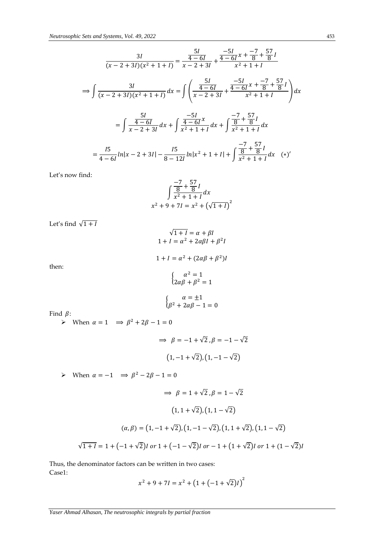$$
\frac{3I}{(x-2+3I)(x^2+1+I)} = \frac{\frac{5I}{4-6I}}{x-2+3I} + \frac{\frac{-5I}{4-6I}x + \frac{-7}{8} + \frac{57}{8}I}{x^2+1+I}
$$
  
\n
$$
\Rightarrow \int \frac{3I}{(x-2+3I)(x^2+1+I)} dx = \int \left(\frac{\frac{5I}{4-6I}}{x-2+3I} + \frac{\frac{-5I}{4-6I}x + \frac{-7}{8} + \frac{57}{8}I}{x^2+1+I}\right) dx
$$
  
\n
$$
= \int \frac{\frac{5I}{4-6I}}{x-2+3I} dx + \int \frac{\frac{-5I}{4-6I}x}{x^2+1+I} dx + \int \frac{\frac{-7}{8} + \frac{57}{8}I}{x^2+1+I} dx
$$
  
\n
$$
= \frac{15}{4-6I} \ln|x-2+3I| - \frac{15}{8-12I} \ln|x^2+1+I| + \int \frac{\frac{-7}{8} + \frac{57}{8}I}{x^2+1+I} dx \quad (*)'
$$

Let's now find:

$$
\int \frac{-7}{\frac{8}{x^2+1+1}} \frac{57}{\frac{1}{x^2+1+1}} dx
$$
  
x<sup>2</sup> + 9 + 7I = x<sup>2</sup> + ( $\sqrt{1+1}$ )<sup>2</sup>

Let's find  $\sqrt{1+I}$ 

$$
\sqrt{1+I} = \alpha + \beta I
$$
  
\n
$$
1+I = \alpha^2 + 2\alpha\beta I + \beta^2 I
$$
  
\n
$$
1+I = \alpha^2 + (2\alpha\beta + \beta^2)I
$$
  
\n
$$
\begin{cases}\n\alpha^2 = 1 \\
2\alpha\beta + \beta^2 = 1\n\end{cases}
$$
  
\n
$$
\begin{cases}\n\alpha = \pm 1 \\
\beta^2 + 2\alpha\beta - 1 = 0\n\end{cases}
$$

Find  $\beta$ :

then:

When  $\alpha = 1 \implies \beta^2 + 2\beta - 1 = 0$ 

$$
\Rightarrow \ \beta = -1 + \sqrt{2}, \beta = -1 - \sqrt{2}
$$

$$
(1, -1 + \sqrt{2}), (1, -1 - \sqrt{2})
$$

> When  $\alpha = -1$  ⇒  $\beta^2 - 2\beta - 1 = 0$ 

$$
\Rightarrow \beta = 1 + \sqrt{2}, \beta = 1 - \sqrt{2}
$$
  
(1, 1 + \sqrt{2}), (1, 1 - \sqrt{2})  

$$
(\alpha, \beta) = (1, -1 + \sqrt{2}), (1, -1 - \sqrt{2}), (1, 1 + \sqrt{2}), (1, 1 - \sqrt{2})
$$
  

$$
\sqrt{1 + I} = 1 + (-1 + \sqrt{2})I \text{ or } 1 + (-1 - \sqrt{2})I \text{ or } -1 + (1 + \sqrt{2})I \text{ or } 1 + (1 - \sqrt{2})I
$$

Thus, the denominator factors can be written in two cases: Case1:

$$
x^2 + 9 + 7I = x^2 + (1 + (-1 + \sqrt{2})I)^2
$$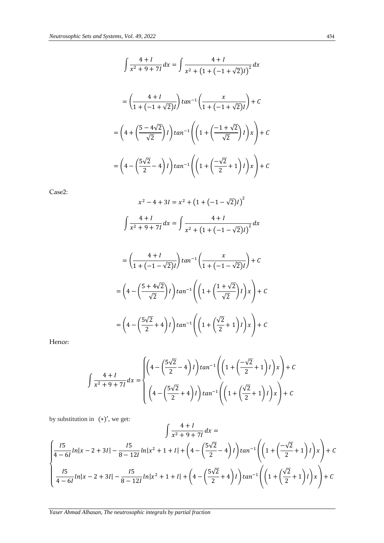$$
\int \frac{4+I}{x^2 + 9 + 7I} dx = \int \frac{4+I}{x^2 + (1 + (-1 + \sqrt{2})I)^2} dx
$$

$$
= \left(\frac{4+I}{1 + (-1 + \sqrt{2})I}\right) \tan^{-1} \left(\frac{x}{1 + (-1 + \sqrt{2})I}\right) + C
$$

$$
= \left(4 + \left(\frac{5 - 4\sqrt{2}}{\sqrt{2}}\right)I\right) \tan^{-1} \left(\left(1 + \left(\frac{-1 + \sqrt{2}}{\sqrt{2}}\right)I\right)x\right) + C
$$

$$
= \left(4 - \left(\frac{5\sqrt{2}}{2} - 4\right)I\right) \tan^{-1} \left(\left(1 + \left(\frac{-\sqrt{2}}{2} + 1\right)I\right)x\right) + C
$$

Case2:

$$
x^{2} - 4 + 3I = x^{2} + (1 + (-1 - \sqrt{2})I)^{2}
$$
  

$$
\int \frac{4 + I}{x^{2} + 9 + 7I} dx = \int \frac{4 + I}{x^{2} + (1 + (-1 - \sqrt{2})I)^{2}} dx
$$
  

$$
= \left(\frac{4 + I}{1 + (-1 - \sqrt{2})I}\right) \tan^{-1} \left(\frac{x}{1 + (-1 - \sqrt{2})I}\right) + C
$$
  

$$
= \left(4 - \left(\frac{5 + 4\sqrt{2}}{\sqrt{2}}\right)I\right) \tan^{-1} \left(\left(1 + \left(\frac{1 + \sqrt{2}}{\sqrt{2}}\right)I\right)x\right) + C
$$
  

$$
= \left(4 - \left(\frac{5\sqrt{2}}{2} + 4\right)I\right) \tan^{-1} \left(\left(1 + \left(\frac{\sqrt{2}}{2} + 1\right)I\right)x\right) + C
$$

Hence:

$$
\int \frac{4+I}{x^2+9+7I} dx = \begin{cases} \left(4 - \left(\frac{5\sqrt{2}}{2} - 4\right)I\right) \tan^{-1} \left( \left(1 + \left(\frac{-\sqrt{2}}{2} + 1\right)I\right) x \right) + C \\ \left(4 - \left(\frac{5\sqrt{2}}{2} + 4\right)I\right) \tan^{-1} \left( \left(1 + \left(\frac{\sqrt{2}}{2} + 1\right)I\right) x \right) + C \end{cases}
$$

by substitution in (∗)′, we get:

$$
\int \frac{4+l}{x^2 + 9 + 7l} dx =
$$
\n
$$
\int \frac{15}{4-6l} ln|x-2+3l| - \frac{15}{8-12l} ln|x^2 + 1 + l| + (4 - (\frac{5\sqrt{2}}{2} - 4)l) tan^{-1} ((1 + (\frac{-\sqrt{2}}{2} + 1)l)x) + C
$$
\n
$$
\int \frac{15}{4-6l} ln|x-2+3l| - \frac{15}{8-12l} ln|x^2 + 1 + l| + (4 - (\frac{5\sqrt{2}}{2} + 4)l) tan^{-1} ((1 + (\frac{\sqrt{2}}{2} + 1)l)x) + C
$$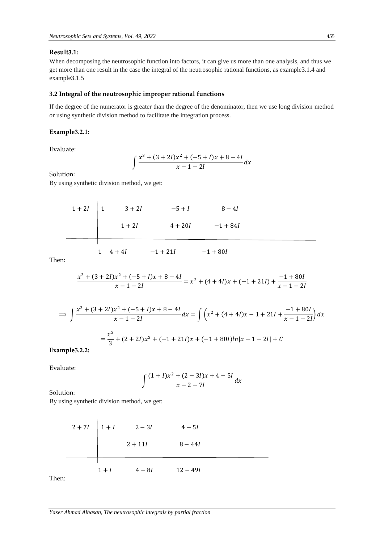# **Result3.1:**

When decomposing the neutrosophic function into factors, it can give us more than one analysis, and thus we get more than one result in the case the integral of the neutrosophic rational functions, as example3.1.4 and example3.1.5

# **3.2 Integral of the neutrosophic improper rational functions**

If the degree of the numerator is greater than the degree of the denominator, then we use long division method or using synthetic division method to facilitate the integration process.

# **Example3.2.1:**

Evaluate:

$$
\int \frac{x^3 + (3 + 2I)x^2 + (-5 + I)x + 8 - 4I}{x - 1 - 2I} dx
$$

Solution:

By using synthetic division method, we get:

$$
1 + 2I
$$
\n
$$
1 + 2I
$$
\n
$$
1 + 2I
$$
\n
$$
1 + 2I
$$
\n
$$
4 + 20I
$$
\n
$$
1 + 4 + 4I
$$
\n
$$
-1 + 21I
$$
\n
$$
-1 + 80I
$$

Then:

$$
\frac{x^3 + (3+2I)x^2 + (-5+I)x + 8 - 4I}{x - 1 - 2I} = x^2 + (4+4I)x + (-1+2I) + \frac{-1+80I}{x - 1 - 2I}
$$

$$
\Rightarrow \int \frac{x^3 + (3 + 2I)x^2 + (-5 + I)x + 8 - 4I}{x - 1 - 2I} dx = \int \left( x^2 + (4 + 4I)x - 1 + 21I + \frac{-1 + 80I}{x - 1 - 2I} \right) dx
$$

$$
= \frac{x^3}{3} + (2 + 2I)x^2 + (-1 + 21I)x + (-1 + 80I)ln|x - 1 - 2I| + C
$$

**Example3.2.2:**

Evaluate:

$$
\int \frac{(1+l)x^2 + (2-3l)x + 4-5l}{x-2-7l} dx
$$

Solution:

By using synthetic division method, we get:

$$
2 + 7I \n\begin{array}{|l|l|}\n2 + 7I & 1 + I & 2 - 3I & 4 - 5I \\
2 + 11I & 8 - 44I\n\end{array}
$$

Then:

 $\overline{a}$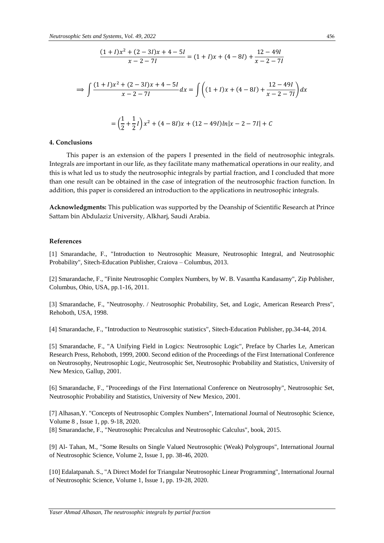$$
\frac{(1+l)x^2 + (2-3l)x + 4 - 5l}{x - 2 - 7l} = (1+l)x + (4-8l) + \frac{12 - 49l}{x - 2 - 7l}
$$
  
\n
$$
\Rightarrow \int \frac{(1+l)x^2 + (2-3l)x + 4 - 5l}{x - 2 - 7l} dx = \int \left( (1+l)x + (4-8l) + \frac{12 - 49l}{x - 2 - 7l} \right) dx
$$
  
\n
$$
= \left(\frac{1}{2} + \frac{1}{2}l\right)x^2 + (4-8l)x + (12-49l)ln|x - 2 - 7l| + C
$$

#### **4. Conclusions**

 This paper is an extension of the papers I presented in the field of neutrosophic integrals. Integrals are important in our life, as they facilitate many mathematical operations in our reality, and this is what led us to study the neutrosophic integrals by partial fraction, and I concluded that more than one result can be obtained in the case of integration of the neutrosophic fraction function. In addition, this paper is considered an introduction to the applications in neutrosophic integrals.

**Acknowledgments:** This publication was supported by the Deanship of Scientific Research at Prince Sattam bin Abdulaziz University, Alkharj, Saudi Arabia.

#### **References**

[1] Smarandache, F., "Introduction to Neutrosophic Measure, Neutrosophic Integral, and Neutrosophic Probability", Sitech-Education Publisher, Craiova – Columbus, 2013.

[2] Smarandache, F., "Finite Neutrosophic Complex Numbers, by W. B. Vasantha Kandasamy", Zip Publisher, Columbus, Ohio, USA, pp.1-16, 2011.

[3] Smarandache, F., "Neutrosophy. / Neutrosophic Probability, Set, and Logic, American Research Press", Rehoboth, USA, 1998.

[4] Smarandache, F., "Introduction to Neutrosophic statistics", Sitech-Education Publisher, pp.34-44, 2014.

[5] Smarandache, F., "A Unifying Field in Logics: Neutrosophic Logic", Preface by Charles Le, American Research Press, Rehoboth, 1999, 2000. Second edition of the Proceedings of the First International Conference on Neutrosophy, Neutrosophic Logic, Neutrosophic Set, Neutrosophic Probability and Statistics, University of New Mexico, Gallup, 2001.

[6] Smarandache, F., "Proceedings of the First International Conference on Neutrosophy", Neutrosophic Set, Neutrosophic Probability and Statistics, University of New Mexico, 2001.

[7] Alhasan,Y. "Concepts of Neutrosophic Complex Numbers", International Journal of Neutrosophic Science, Volume 8 , Issue 1, pp. 9-18, 2020.

[8] Smarandache, F., "Neutrosophic Precalculus and Neutrosophic Calculus", book, 2015.

[9] Al- Tahan, M., "Some Results on Single Valued Neutrosophic (Weak) Polygroups", International Journal of Neutrosophic Science, Volume 2, Issue 1, pp. 38-46, 2020.

[10] Edalatpanah. S., "A Direct Model for Triangular Neutrosophic Linear Programming", International Journal of Neutrosophic Science, Volume 1, Issue 1, pp. 19-28, 2020.